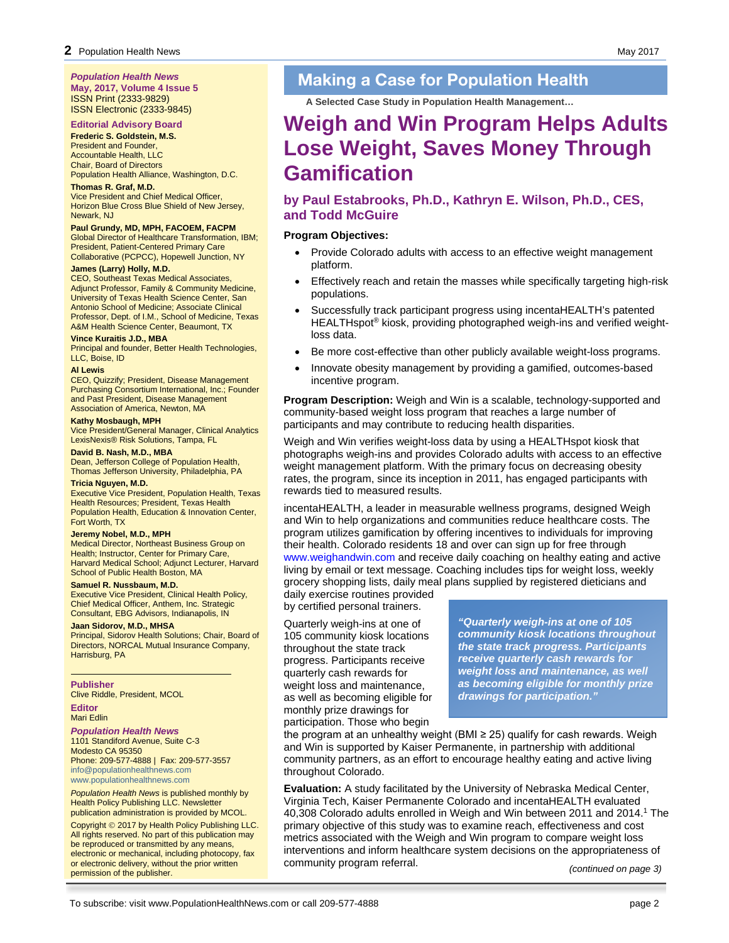*Population Health News* **May, 2017, Volume 4 Issue 5** ISSN Print (2333-9829) ISSN Electronic (2333-9845)

## **Editorial Advisory Board**

**Frederic S. Goldstein, M.S.**  President and Founder, Accountable Health, LLC Chair, Board of Directors Population Health Alliance, Washington, D.C.

## **Thomas R. Graf, M.D.**

Vice President and Chief Medical Officer, Horizon Blue Cross Blue Shield of New Jersey, Newark, NJ

## **Paul Grundy, MD, MPH, FACOEM, FACPM**

Global Director of Healthcare Transformation, IBM; President, Patient-Centered Primary Care Collaborative (PCPCC), Hopewell Junction, NY

## **James (Larry) Holly, M.D.**

CEO, Southeast Texas Medical Associates, Adjunct Professor, Family & Community Medicine, University of Texas Health Science Center, San Antonio School of Medicine; Associate Clinical Professor, Dept. of I.M., School of Medicine, Texas A&M Health Science Center, Beaumont, TX

## **Vince Kuraitis J.D., MBA**

Principal and founder, Better Health Technologies, LLC, Boise, ID

## **Al Lewis**

CEO, Quizzify; President, Disease Management Purchasing Consortium International, Inc.; Founder and Past President, Disease Management Association of America, Newton, MA

## **Kathy Mosbaugh, MPH**

Vice President/General Manager, Clinical Analytics LexisNexis® Risk Solutions, Tampa, FL

## **David B. Nash, M.D., MBA**

Dean, Jefferson College of Population Health, Thomas Jefferson University, Philadelphia, PA

**Tricia Nguyen, M.D.** Executive Vice President, Population Health, Texas Health Resources; President, Texas Health

Population Health, Education & Innovation Center, Fort Worth, TX

## **Jeremy Nobel, M.D., MPH**

Medical Director, Northeast Business Group on Health; Instructor, Center for Primary Care, Harvard Medical School; Adjunct Lecturer, Harvard School of Public Health Boston, MA

## **Samuel R. Nussbaum, M.D.**

Executive Vice President, Clinical Health Policy, Chief Medical Officer, Anthem, Inc. Strategic Consultant, EBG Advisors, Indianapolis, IN

## **Jaan Sidorov, M.D., MHSA**

Principal, Sidorov Health Solutions; Chair, Board of Directors, NORCAL Mutual Insurance Company, Harrisburg, PA

**Publisher** Clive Riddle, President, MCOL **Editor** Mari Edlin

## *Population Health News*

1101 Standiford Avenue, Suite C-3 Modesto CA 95350 Phone: 209-577-4888 | Fax: 209-577-3557 [info@populationhealthnews.com](mailto:info@populationhealthnews.com) [www.populationhealthnews.com](http://www.populationhealthnews.com/)

*Population Health News* is published monthly by Health Policy Publishing LLC. Newsletter publication administration is provided by MCOL. Copyright © 2017 by Health Policy Publishing LLC. All rights reserved. No part of this publication may be reproduced or transmitted by any means, electronic or mechanical, including photocopy, fax or electronic delivery, without the prior written permission of the publisher.

## Making a Case for Population Health

**A Selected Case Study in Population Health Management…** 

# **Weigh and Win Program Helps Adults Lose Weight, Saves Money Through Gamification**

**by Paul Estabrooks, Ph.D., Kathryn E. Wilson, Ph.D., CES, and Todd McGuire**

## **Program Objectives:**

- Provide Colorado adults with access to an effective weight management platform.
- Effectively reach and retain the masses while specifically targeting high-risk populations.
- Successfully track participant progress using incentaHEALTH's patented HEALTHspot<sup>®</sup> kiosk, providing photographed weigh-ins and verified weightloss data.
- Be more cost-effective than other publicly available weight-loss programs.
- Innovate obesity management by providing a gamified, outcomes-based incentive program.

**Program Description:** Weigh and Win is a scalable, technology-supported and community-based weight loss program that reaches a large number of participants and may contribute to reducing health disparities.

Weigh and Win verifies weight-loss data by using a HEALTHspot kiosk that photographs weigh-ins and provides Colorado adults with access to an effective weight management platform. With the primary focus on decreasing obesity rates, the program, since its inception in 2011, has engaged participants with rewards tied to measured results.

incentaHEALTH, a leader in measurable wellness programs, designed Weigh and Win to help organizations and communities reduce healthcare costs. The program utilizes gamification by offering incentives to individuals for improving their health. Colorado residents 18 and over can sign up for free through [www.weighandwin.com](http://www.weighandwin.com/) and receive daily coaching on healthy eating and active living by email or text message. Coaching includes tips for weight loss, weekly grocery shopping lists, daily meal plans supplied by registered dieticians and

daily exercise routines provided by certified personal trainers.

Quarterly weigh-ins at one of 105 community kiosk locations throughout the state track progress. Participants receive quarterly cash rewards for weight loss and maintenance, as well as becoming eligible for monthly prize drawings for participation. Those who begin

*"Quarterly weigh-ins at one of 105 community kiosk locations throughout the state track progress. Participants receive quarterly cash rewards for weight loss and maintenance, as well as becoming eligible for monthly prize drawings for participation."*

the program at an unhealthy weight (BMI ≥ 25) qualify for cash rewards. Weigh and Win is supported by Kaiser Permanente, in partnership with additional community partners, as an effort to encourage healthy eating and active living throughout Colorado.

**Evaluation:** A study facilitated by the University of Nebraska Medical Center, Virginia Tech, Kaiser Permanente Colorado and incentaHEALTH evaluated 40,308 Colorado adults enrolled in Weigh and Win between 2011 and 2014.1 The primary objective of this study was to examine reach, effectiveness and cost metrics associated with the Weigh and Win program to compare weight loss interventions and inform healthcare system decisions on the appropriateness of community program referral.

*(continued on page 3)*